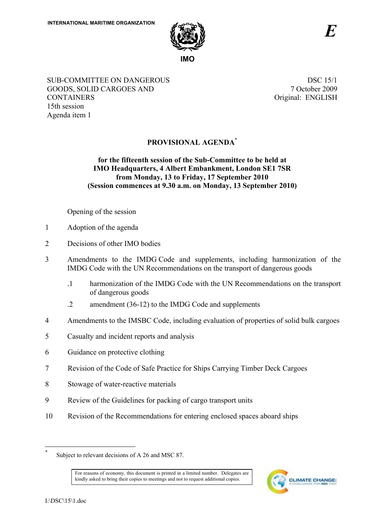

SUB-COMMITTEE ON DANGEROUS GOODS, SOLID CARGOES AND **CONTAINERS** 15th session Agenda item 1

DSC 15/1 7 October 2009 Original: ENGLISH

## **PROVISIONAL AGENDA**\*

## **for the fifteenth session of the Sub-Committee to be held at IMO Headquarters, 4 Albert Embankment, London SE1 7SR from Monday, 13 to Friday, 17 September 2010 (Session commences at 9.30 a.m. on Monday, 13 September 2010)**

## Opening of the session

- 1 Adoption of the agenda
- 2 Decisions of other IMO bodies
- 3 Amendments to the IMDG Code and supplements, including harmonization of the IMDG Code with the UN Recommendations on the transport of dangerous goods
	- .1 harmonization of the IMDG Code with the UN Recommendations on the transport of dangerous goods
	- .2 amendment (36-12) to the IMDG Code and supplements
- 4 Amendments to the IMSBC Code, including evaluation of properties of solid bulk cargoes
- 5 Casualty and incident reports and analysis
- 6 Guidance on protective clothing
- 7 Revision of the Code of Safe Practice for Ships Carrying Timber Deck Cargoes
- 8 Stowage of water-reactive materials
- 9 Review of the Guidelines for packing of cargo transport units
- 10 Revision of the Recommendations for entering enclosed spaces aboard ships

For reasons of economy, this document is printed in a limited number. Delegates are kindly asked to bring their copies to meetings and not to request additional copies.



 $\overline{a}$ 

<sup>\*</sup> Subject to relevant decisions of A 26 and MSC 87.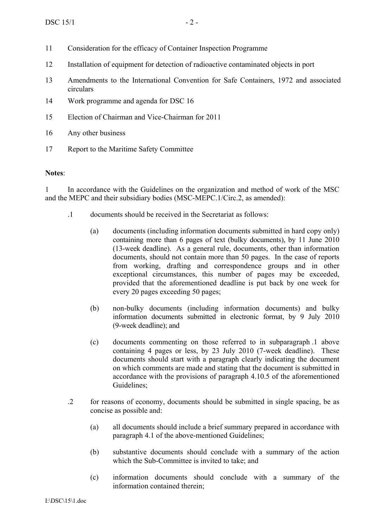- 11 Consideration for the efficacy of Container Inspection Programme
- 12 Installation of equipment for detection of radioactive contaminated objects in port
- 13 Amendments to the International Convention for Safe Containers, 1972 and associated circulars
- 14 Work programme and agenda for DSC 16
- 15 Election of Chairman and Vice-Chairman for 2011
- 16 Any other business
- 17 Report to the Maritime Safety Committee

## **Notes**:

1 In accordance with the Guidelines on the organization and method of work of the MSC and the MEPC and their subsidiary bodies (MSC-MEPC.1/Circ.2, as amended):

- .1 documents should be received in the Secretariat as follows:
	- (a) documents (including information documents submitted in hard copy only) containing more than 6 pages of text (bulky documents), by 11 June 2010 (13-week deadline). As a general rule, documents, other than information documents, should not contain more than 50 pages. In the case of reports from working, drafting and correspondence groups and in other exceptional circumstances, this number of pages may be exceeded, provided that the aforementioned deadline is put back by one week for every 20 pages exceeding 50 pages;
	- (b) non-bulky documents (including information documents) and bulky information documents submitted in electronic format, by 9 July 2010 (9-week deadline); and
	- (c) documents commenting on those referred to in subparagraph .1 above containing 4 pages or less, by 23 July 2010 (7-week deadline). These documents should start with a paragraph clearly indicating the document on which comments are made and stating that the document is submitted in accordance with the provisions of paragraph 4.10.5 of the aforementioned Guidelines;
- .2 for reasons of economy, documents should be submitted in single spacing, be as concise as possible and:
	- (a) all documents should include a brief summary prepared in accordance with paragraph 4.1 of the above-mentioned Guidelines;
	- (b) substantive documents should conclude with a summary of the action which the Sub-Committee is invited to take; and
	- (c) information documents should conclude with a summary of the information contained therein;